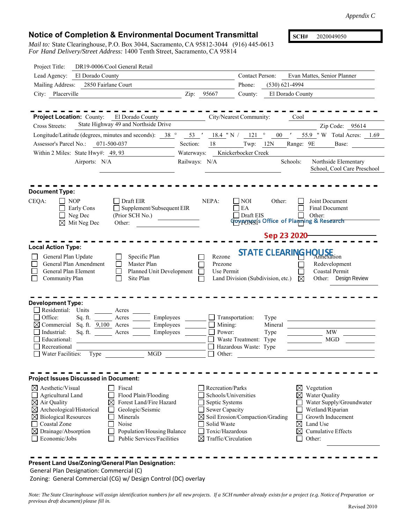## **Notice of Completion & Environmental Document Transmittal**

*Mail to:* State Clearinghouse, P.O. Box 3044, Sacramento, CA 95812-3044 (916) 445-0613 *For Hand Delivery/Street Address:* 1400 Tenth Street, Sacramento, CA 95814

**SCH#** 2020049050

| DR19-0006/Cool General Retail<br>Project Title:                                                                                                                                                                                                                                                                                                                                                            |                                                                                                                                                   |                                                                                              |                                                                                                                                                                            |
|------------------------------------------------------------------------------------------------------------------------------------------------------------------------------------------------------------------------------------------------------------------------------------------------------------------------------------------------------------------------------------------------------------|---------------------------------------------------------------------------------------------------------------------------------------------------|----------------------------------------------------------------------------------------------|----------------------------------------------------------------------------------------------------------------------------------------------------------------------------|
| Lead Agency: El Dorado County                                                                                                                                                                                                                                                                                                                                                                              |                                                                                                                                                   | <b>Contact Person:</b>                                                                       | Evan Mattes, Senior Planner                                                                                                                                                |
| Mailing Address:<br>2850 Fairlane Court                                                                                                                                                                                                                                                                                                                                                                    |                                                                                                                                                   | Phone:                                                                                       | $(530) 621 - 4994$                                                                                                                                                         |
| City: Placerville                                                                                                                                                                                                                                                                                                                                                                                          | Zip:<br>95667                                                                                                                                     | County:                                                                                      | El Dorado County                                                                                                                                                           |
| <b>Project Location:</b> County: El Dorado County<br>State Highway 49 and Northside Drive<br><b>Cross Streets:</b><br>Longitude/Latitude (degrees, minutes and seconds): 38 ° 53 ' 18.4 "N / 121 °<br>Assessor's Parcel No.: 071-500-037<br>Within 2 Miles: State Hwy#: 49, 93<br>Airports: N/A                                                                                                            | Section:<br>18<br>Waterways:<br>Railways: N/A                                                                                                     | City/Nearest Community:<br>$00$ '<br>Twp: $12N$<br>Knickerbocker Creek                       | Cool<br>Zip Code: 95614<br>55.9 "W Total Acres: 1.69<br>Range: 9E<br>Base:<br>Schools:<br>Northside Elementary<br>School, Cool Care Preschool                              |
| <b>Document Type:</b>                                                                                                                                                                                                                                                                                                                                                                                      |                                                                                                                                                   |                                                                                              |                                                                                                                                                                            |
| CEQA:<br>$\Box$ Draft EIR<br>    NOP<br>Supplement/Subsequent EIR<br>Early Cons<br>(Prior SCH No.)<br>$\Box$ Neg Dec<br>$\boxtimes$ Mit Neg Dec<br>Other:                                                                                                                                                                                                                                                  | NEPA:                                                                                                                                             | <b>NOI</b><br>Other:<br>EA<br>Draft EIS                                                      | Joint Document<br><b>Final Document</b><br>Other:<br><b>Covernor</b> 's Office of Plaining & Research                                                                      |
|                                                                                                                                                                                                                                                                                                                                                                                                            |                                                                                                                                                   |                                                                                              | Sep 23 2020                                                                                                                                                                |
| <b>Local Action Type:</b>                                                                                                                                                                                                                                                                                                                                                                                  |                                                                                                                                                   |                                                                                              | <b>STATE CLEARING HOUSE</b>                                                                                                                                                |
| General Plan Update<br>Specific Plan<br>General Plan Amendment<br>Master Plan<br>General Plan Element<br>Planned Unit Development<br>Site Plan<br>Community Plan                                                                                                                                                                                                                                           | Rezone<br>Prezone<br>Use Permit                                                                                                                   | Land Division (Subdivision, etc.)                                                            | Redevelopment<br>Coastal Permit<br>Other: Design Review<br>⊠                                                                                                               |
| <b>Development Type:</b><br>Residential: Units<br>Acres<br>Acres<br>Office:<br>Employees<br>Sq. ft.<br>Employees<br>$\boxtimes$ Commercial Sq. ft. 9,100 Acres<br>Industrial:<br>Sq. ft.<br>Acres<br>Employees<br>Educational:<br>Recreational<br><b>MGD</b><br><b>Water Facilities:</b><br>Type                                                                                                           | $\Box$ Mining:<br>Power:<br>$\Box$<br>$\Box$ Other:                                                                                               | Transportation:<br>Type<br>Mineral<br>Type<br>Waste Treatment: Type<br>Hazardous Waste: Type | MW<br><b>MGD</b>                                                                                                                                                           |
| <b>Project Issues Discussed in Document:</b>                                                                                                                                                                                                                                                                                                                                                               |                                                                                                                                                   |                                                                                              |                                                                                                                                                                            |
| $\boxtimes$ Aesthetic/Visual<br>Fiscal<br>Flood Plain/Flooding<br>Agricultural Land<br>Forest Land/Fire Hazard<br>$\boxtimes$ Air Quality<br>⊠<br>$\boxtimes$ Archeological/Historical<br>Geologic/Seismic<br>$\boxtimes$ Biological Resources<br>Minerals<br><b>Coastal Zone</b><br>Noise<br>$\boxtimes$ Drainage/Absorption<br>Population/Housing Balance<br>Economic/Jobs<br>Public Services/Facilities | Recreation/Parks<br>Schools/Universities<br>Septic Systems<br>Sewer Capacity<br>Solid Waste<br>Toxic/Hazardous<br>$\boxtimes$ Traffic/Circulation | $\boxtimes$ Soil Erosion/Compaction/Grading                                                  | Vegetation<br>$\bowtie$<br>Water Quality<br>Water Supply/Groundwater<br>Wetland/Riparian<br>Growth Inducement<br>⊠<br>Land Use<br><b>Cumulative Effects</b><br>⋈<br>Other: |

## **Present Land Use/Zoning/General Plan Designation:**

General Plan Designation: Commercial (C)

Zoning: General Commercial (CG) w/ Design Control (DC) overlay

*Note: The State Clearinghouse will assign identification numbers for all new projects. If a SCH number already exists for a project (e.g. Notice of Preparation or previous draft document) please fill in.*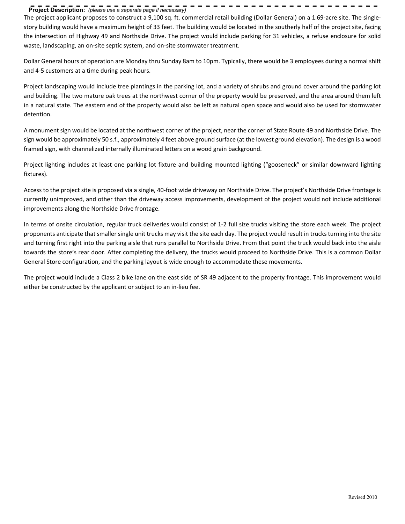## **Project Description:** *(please use a separate page if necessary)*

The project applicant proposes to construct a 9,100 sq. ft. commercial retail building (Dollar General) on a 1.69-acre site. The singlestory building would have a maximum height of 33 feet. The building would be located in the southerly half of the project site, facing the intersection of Highway 49 and Northside Drive. The project would include parking for 31 vehicles, a refuse enclosure for solid waste, landscaping, an on-site septic system, and on-site stormwater treatment.

------------------------

Dollar General hours of operation are Monday thru Sunday 8am to 10pm. Typically, there would be 3 employees during a normal shift and 4‐5 customers at a time during peak hours.

Project landscaping would include tree plantings in the parking lot, and a variety of shrubs and ground cover around the parking lot and building. The two mature oak trees at the northwest corner of the property would be preserved, and the area around them left in a natural state. The eastern end of the property would also be left as natural open space and would also be used for stormwater detention.

A monument sign would be located at the northwest corner of the project, near the corner of State Route 49 and Northside Drive. The sign would be approximately 50 s.f., approximately 4 feet above ground surface (at the lowest ground elevation). The design is a wood framed sign, with channelized internally illuminated letters on a wood grain background.

Project lighting includes at least one parking lot fixture and building mounted lighting ("gooseneck" or similar downward lighting fixtures).

Access to the project site is proposed via a single, 40‐foot wide driveway on Northside Drive. The project's Northside Drive frontage is currently unimproved, and other than the driveway access improvements, development of the project would not include additional improvements along the Northside Drive frontage.

In terms of onsite circulation, regular truck deliveries would consist of 1‐2 full size trucks visiting the store each week. The project proponents anticipate that smaller single unit trucks may visit the site each day. The project would result in trucks turning into the site and turning first right into the parking aisle that runs parallel to Northside Drive. From that point the truck would back into the aisle towards the store's rear door. After completing the delivery, the trucks would proceed to Northside Drive. This is a common Dollar General Store configuration, and the parking layout is wide enough to accommodate these movements.

The project would include a Class 2 bike lane on the east side of SR 49 adjacent to the property frontage. This improvement would either be constructed by the applicant or subject to an in‐lieu fee.